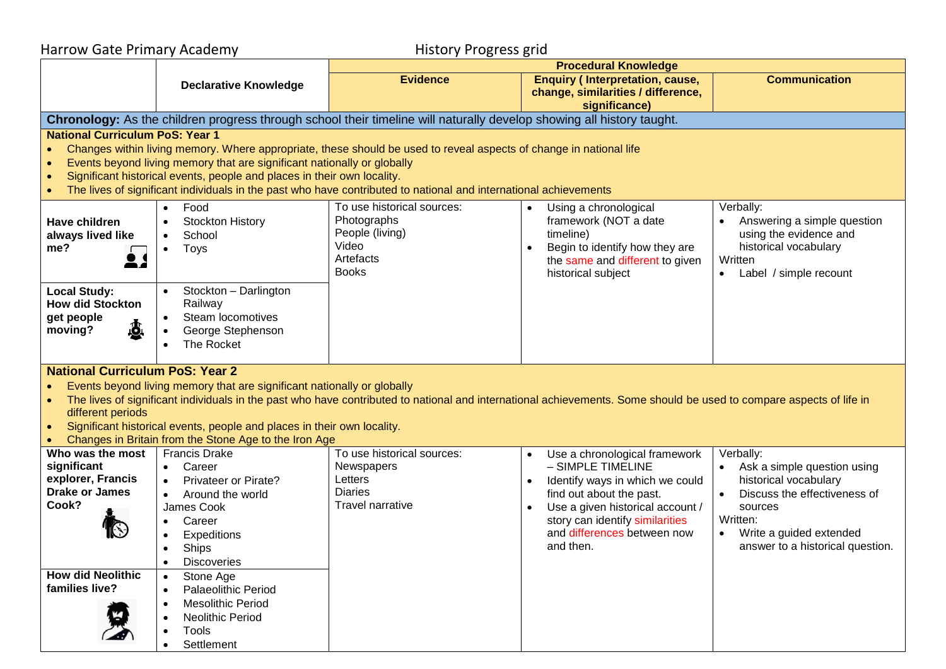| <b>Harrow Gate Primary Academy</b>                                                                                                                                                                                                                                                                                                                                                                                                                |                                                                                                                                                    | <b>History Progress grid</b>                                                                                                                                                                                                           |                                                                                                                                                                                  |                                                                                                                                  |
|---------------------------------------------------------------------------------------------------------------------------------------------------------------------------------------------------------------------------------------------------------------------------------------------------------------------------------------------------------------------------------------------------------------------------------------------------|----------------------------------------------------------------------------------------------------------------------------------------------------|----------------------------------------------------------------------------------------------------------------------------------------------------------------------------------------------------------------------------------------|----------------------------------------------------------------------------------------------------------------------------------------------------------------------------------|----------------------------------------------------------------------------------------------------------------------------------|
|                                                                                                                                                                                                                                                                                                                                                                                                                                                   |                                                                                                                                                    | <b>Procedural Knowledge</b>                                                                                                                                                                                                            |                                                                                                                                                                                  |                                                                                                                                  |
|                                                                                                                                                                                                                                                                                                                                                                                                                                                   | <b>Declarative Knowledge</b>                                                                                                                       | <b>Evidence</b>                                                                                                                                                                                                                        | <b>Enquiry (Interpretation, cause,</b><br>change, similarities / difference,<br>significance)                                                                                    | <b>Communication</b>                                                                                                             |
|                                                                                                                                                                                                                                                                                                                                                                                                                                                   |                                                                                                                                                    | Chronology: As the children progress through school their timeline will naturally develop showing all history taught.                                                                                                                  |                                                                                                                                                                                  |                                                                                                                                  |
| <b>National Curriculum PoS: Year 1</b>                                                                                                                                                                                                                                                                                                                                                                                                            | Events beyond living memory that are significant nationally or globally<br>Significant historical events, people and places in their own locality. | Changes within living memory. Where appropriate, these should be used to reveal aspects of change in national life<br>The lives of significant individuals in the past who have contributed to national and international achievements |                                                                                                                                                                                  |                                                                                                                                  |
| Have children<br>always lived like<br>me?<br>2,                                                                                                                                                                                                                                                                                                                                                                                                   | Food<br>$\bullet$<br>Stockton History<br>School<br>$\bullet$<br>Toys                                                                               | To use historical sources:<br>Photographs<br>People (living)<br>Video<br>Artefacts<br><b>Books</b>                                                                                                                                     | Using a chronological<br>$\bullet$<br>framework (NOT a date<br>timeline)<br>Begin to identify how they are<br>$\bullet$<br>the same and different to given<br>historical subject | Verbally:<br>Answering a simple question<br>using the evidence and<br>historical vocabulary<br>Written<br>Label / simple recount |
| <b>Local Study:</b><br><b>How did Stockton</b><br>get people<br>$\mathbf{r}$<br>moving?                                                                                                                                                                                                                                                                                                                                                           | Stockton - Darlington<br>$\bullet$<br>Railway<br>Steam locomotives<br>$\bullet$<br>George Stephenson<br>The Rocket                                 |                                                                                                                                                                                                                                        |                                                                                                                                                                                  |                                                                                                                                  |
| <b>National Curriculum PoS: Year 2</b><br>Events beyond living memory that are significant nationally or globally<br>The lives of significant individuals in the past who have contributed to national and international achievements. Some should be used to compare aspects of life in<br>different periods<br>Significant historical events, people and places in their own locality.<br>Changes in Britain from the Stone Age to the Iron Age |                                                                                                                                                    |                                                                                                                                                                                                                                        |                                                                                                                                                                                  |                                                                                                                                  |
| Who was the most                                                                                                                                                                                                                                                                                                                                                                                                                                  | <b>Francis Drake</b>                                                                                                                               | To use historical sources:                                                                                                                                                                                                             | Use a chronological framework<br>$\bullet$                                                                                                                                       | Verbally:                                                                                                                        |
| significant<br>explorer, Francis                                                                                                                                                                                                                                                                                                                                                                                                                  | Career<br>Privateer or Pirate?                                                                                                                     | Newspapers<br>Letters                                                                                                                                                                                                                  | - SIMPLE TIMELINE<br>Identify ways in which we could                                                                                                                             | Ask a simple question using<br>historical vocabulary                                                                             |
| <b>Drake or James</b><br>Cook?                                                                                                                                                                                                                                                                                                                                                                                                                    | Around the world<br>James Cook<br>Career<br>Expeditions<br>Ships<br><b>Discoveries</b><br>$\bullet$                                                | <b>Diaries</b><br><b>Travel narrative</b>                                                                                                                                                                                              | find out about the past.<br>Use a given historical account /<br>story can identify similarities<br>and differences between now<br>and then.                                      | Discuss the effectiveness of<br>sources<br>Written:<br>Write a guided extended<br>$\bullet$<br>answer to a historical question.  |
| <b>How did Neolithic</b><br>families live?                                                                                                                                                                                                                                                                                                                                                                                                        | Stone Age<br><b>Palaeolithic Period</b><br><b>Mesolithic Period</b><br>٠<br>Neolithic Period<br><b>Tools</b><br>Settlement                         |                                                                                                                                                                                                                                        |                                                                                                                                                                                  |                                                                                                                                  |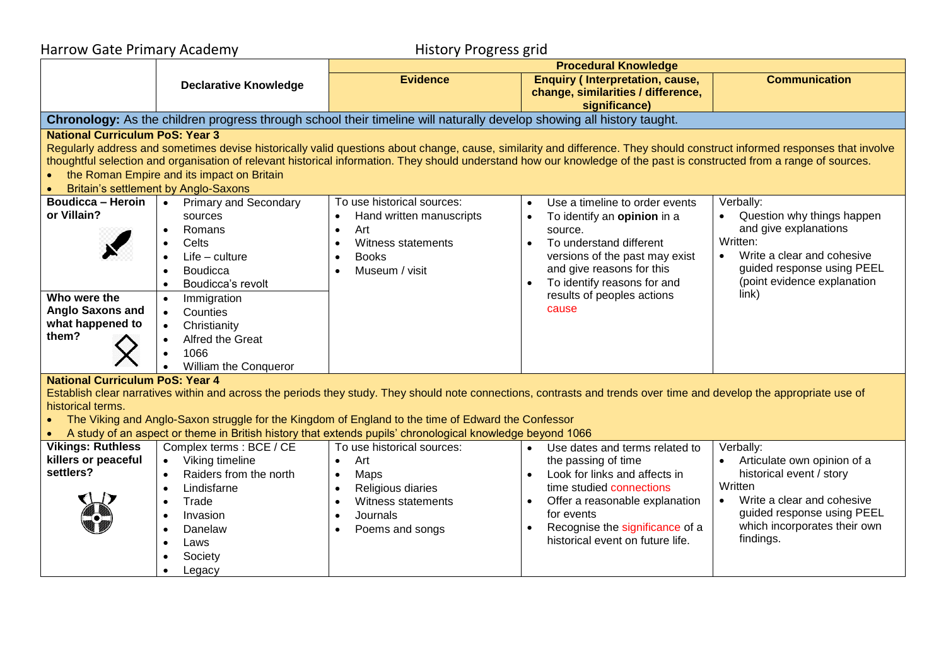| Harrow Gate Primary Academy                                                                                                                                                                                                                                                                                                                                                                                                                                                                  |                                                                                                                                                                                                                                                                                          | <b>History Progress grid</b>                                                                                                                                                                      |                                                                                                                                                                                                                                                                    |                                                                                                                                                                                                       |  |
|----------------------------------------------------------------------------------------------------------------------------------------------------------------------------------------------------------------------------------------------------------------------------------------------------------------------------------------------------------------------------------------------------------------------------------------------------------------------------------------------|------------------------------------------------------------------------------------------------------------------------------------------------------------------------------------------------------------------------------------------------------------------------------------------|---------------------------------------------------------------------------------------------------------------------------------------------------------------------------------------------------|--------------------------------------------------------------------------------------------------------------------------------------------------------------------------------------------------------------------------------------------------------------------|-------------------------------------------------------------------------------------------------------------------------------------------------------------------------------------------------------|--|
|                                                                                                                                                                                                                                                                                                                                                                                                                                                                                              |                                                                                                                                                                                                                                                                                          | <b>Procedural Knowledge</b>                                                                                                                                                                       |                                                                                                                                                                                                                                                                    |                                                                                                                                                                                                       |  |
|                                                                                                                                                                                                                                                                                                                                                                                                                                                                                              | <b>Declarative Knowledge</b>                                                                                                                                                                                                                                                             | <b>Evidence</b>                                                                                                                                                                                   | <b>Enquiry (Interpretation, cause,</b><br>change, similarities / difference,<br>significance)                                                                                                                                                                      | <b>Communication</b>                                                                                                                                                                                  |  |
|                                                                                                                                                                                                                                                                                                                                                                                                                                                                                              |                                                                                                                                                                                                                                                                                          | Chronology: As the children progress through school their timeline will naturally develop showing all history taught.                                                                             |                                                                                                                                                                                                                                                                    |                                                                                                                                                                                                       |  |
| <b>National Curriculum PoS: Year 3</b><br>Regularly address and sometimes devise historically valid questions about change, cause, similarity and difference. They should construct informed responses that involve<br>thoughtful selection and organisation of relevant historical information. They should understand how our knowledge of the past is constructed from a range of sources.<br>• the Roman Empire and its impact on Britain<br><b>Britain's settlement by Anglo-Saxons</b> |                                                                                                                                                                                                                                                                                          |                                                                                                                                                                                                   |                                                                                                                                                                                                                                                                    |                                                                                                                                                                                                       |  |
| <b>Boudicca - Heroin</b><br>or Villain?<br>Who were the<br><b>Anglo Saxons and</b><br>what happened to<br>them?                                                                                                                                                                                                                                                                                                                                                                              | • Primary and Secondary<br>sources<br>Romans<br>$\bullet$<br>Celts<br>$\bullet$<br>$Life$ – culture<br>Boudicca<br>Boudicca's revolt<br>Immigration<br>Counties<br>$\bullet$<br>Christianity<br>$\bullet$<br>Alfred the Great<br>$\bullet$<br>1066<br>$\bullet$<br>William the Conqueror | To use historical sources:<br>Hand written manuscripts<br>Art<br>$\bullet$<br>Witness statements<br>$\bullet$<br><b>Books</b><br>$\bullet$<br>Museum / visit<br>$\bullet$                         | Use a timeline to order events<br>$\bullet$<br>To identify an opinion in a<br>source.<br>To understand different<br>$\bullet$<br>versions of the past may exist<br>and give reasons for this<br>To identify reasons for and<br>results of peoples actions<br>cause | Verbally:<br>Question why things happen<br>and give explanations<br>Written:<br>Write a clear and cohesive<br>$\bullet$<br>guided response using PEEL<br>(point evidence explanation<br>link)         |  |
| <b>National Curriculum PoS: Year 4</b><br>Establish clear narratives within and across the periods they study. They should note connections, contrasts and trends over time and develop the appropriate use of<br>historical terms.<br>The Viking and Anglo-Saxon struggle for the Kingdom of England to the time of Edward the Confessor<br>A study of an aspect or theme in British history that extends pupils' chronological knowledge beyond 1066                                       |                                                                                                                                                                                                                                                                                          |                                                                                                                                                                                                   |                                                                                                                                                                                                                                                                    |                                                                                                                                                                                                       |  |
| <b>Vikings: Ruthless</b><br>killers or peaceful<br>settlers?                                                                                                                                                                                                                                                                                                                                                                                                                                 | Complex terms : BCE / CE<br>• Viking timeline<br>Raiders from the north<br>Lindisfarne<br>Trade<br>$\bullet$<br>Invasion<br>Danelaw<br>$\bullet$<br>Laws<br>$\bullet$<br>Society<br>Legacy                                                                                               | To use historical sources:<br>Art<br>$\bullet$<br>Maps<br>$\bullet$<br>Religious diaries<br>$\bullet$<br>Witness statements<br>$\bullet$<br>Journals<br>$\bullet$<br>Poems and songs<br>$\bullet$ | Use dates and terms related to<br>$\bullet$<br>the passing of time<br>Look for links and affects in<br>time studied connections<br>Offer a reasonable explanation<br>for events<br>Recognise the significance of a<br>historical event on future life.             | Verbally:<br>Articulate own opinion of a<br>historical event / story<br>Written<br>Write a clear and cohesive<br>$\bullet$<br>guided response using PEEL<br>which incorporates their own<br>findings. |  |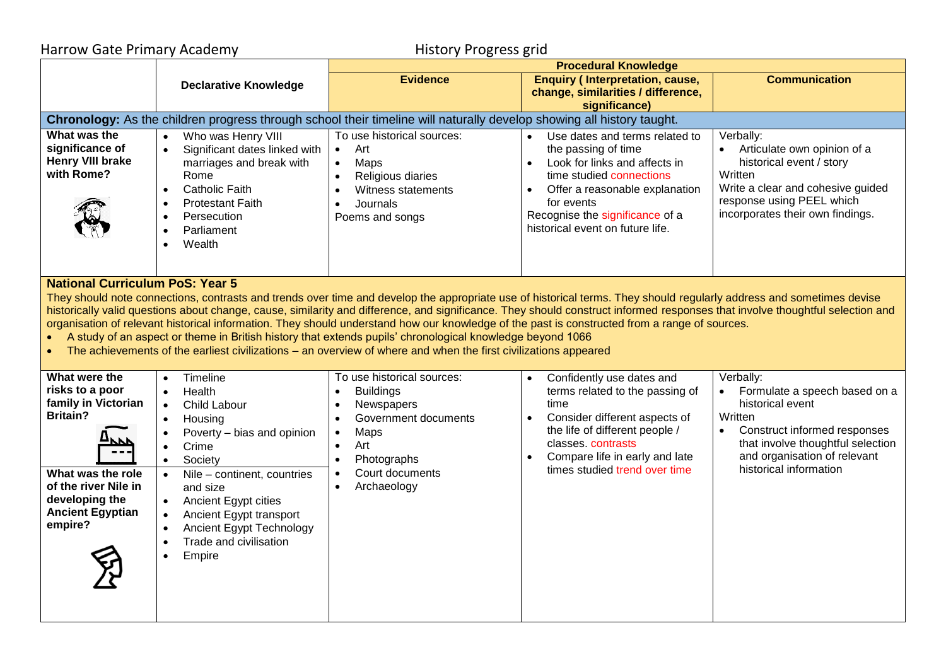| <b>Harrow Gate Primary Academy</b>                                                                                                                                                                                                                                                                                                                                                                                                                                                                                                                                                                                                                                                                                                                                               |                                                                                                                                                                                                                                                                                                                                                                                                                           | <b>History Progress grid</b>                                                                                                                                                                             |                                                                                                                                                                                                                                                           |                                                                                                                                                                                                                       |  |
|----------------------------------------------------------------------------------------------------------------------------------------------------------------------------------------------------------------------------------------------------------------------------------------------------------------------------------------------------------------------------------------------------------------------------------------------------------------------------------------------------------------------------------------------------------------------------------------------------------------------------------------------------------------------------------------------------------------------------------------------------------------------------------|---------------------------------------------------------------------------------------------------------------------------------------------------------------------------------------------------------------------------------------------------------------------------------------------------------------------------------------------------------------------------------------------------------------------------|----------------------------------------------------------------------------------------------------------------------------------------------------------------------------------------------------------|-----------------------------------------------------------------------------------------------------------------------------------------------------------------------------------------------------------------------------------------------------------|-----------------------------------------------------------------------------------------------------------------------------------------------------------------------------------------------------------------------|--|
|                                                                                                                                                                                                                                                                                                                                                                                                                                                                                                                                                                                                                                                                                                                                                                                  |                                                                                                                                                                                                                                                                                                                                                                                                                           | <b>Procedural Knowledge</b>                                                                                                                                                                              |                                                                                                                                                                                                                                                           |                                                                                                                                                                                                                       |  |
|                                                                                                                                                                                                                                                                                                                                                                                                                                                                                                                                                                                                                                                                                                                                                                                  | <b>Declarative Knowledge</b>                                                                                                                                                                                                                                                                                                                                                                                              | <b>Evidence</b>                                                                                                                                                                                          | <b>Enquiry (Interpretation, cause,</b><br>change, similarities / difference,<br>significance)                                                                                                                                                             | <b>Communication</b>                                                                                                                                                                                                  |  |
|                                                                                                                                                                                                                                                                                                                                                                                                                                                                                                                                                                                                                                                                                                                                                                                  |                                                                                                                                                                                                                                                                                                                                                                                                                           | Chronology: As the children progress through school their timeline will naturally develop showing all history taught.                                                                                    |                                                                                                                                                                                                                                                           |                                                                                                                                                                                                                       |  |
| What was the<br>significance of<br><b>Henry VIII brake</b><br>with Rome?                                                                                                                                                                                                                                                                                                                                                                                                                                                                                                                                                                                                                                                                                                         | Who was Henry VIII<br>$\bullet$<br>Significant dates linked with<br>marriages and break with<br>Rome<br><b>Catholic Faith</b><br>$\bullet$<br><b>Protestant Faith</b><br>$\bullet$<br>Persecution<br>$\bullet$<br>Parliament<br>$\bullet$<br>Wealth                                                                                                                                                                       | To use historical sources:<br>Art<br>$\bullet$<br>$\bullet$<br>Maps<br>Religious diaries<br>Witness statements<br>Journals<br>Poems and songs                                                            | Use dates and terms related to<br>the passing of time<br>Look for links and affects in<br>time studied connections<br>Offer a reasonable explanation<br>for events<br>Recognise the significance of a<br>historical event on future life.                 | Verbally:<br>Articulate own opinion of a<br>historical event / story<br>Written<br>Write a clear and cohesive guided<br>response using PEEL which<br>incorporates their own findings.                                 |  |
| <b>National Curriculum PoS: Year 5</b><br>They should note connections, contrasts and trends over time and develop the appropriate use of historical terms. They should regularly address and sometimes devise<br>historically valid questions about change, cause, similarity and difference, and significance. They should construct informed responses that involve thoughtful selection and<br>organisation of relevant historical information. They should understand how our knowledge of the past is constructed from a range of sources.<br>A study of an aspect or theme in British history that extends pupils' chronological knowledge beyond 1066<br>The achievements of the earliest civilizations – an overview of where and when the first civilizations appeared |                                                                                                                                                                                                                                                                                                                                                                                                                           |                                                                                                                                                                                                          |                                                                                                                                                                                                                                                           |                                                                                                                                                                                                                       |  |
| What were the<br>risks to a poor<br>family in Victorian<br><b>Britain?</b><br>What was the role<br>of the river Nile in<br>developing the<br><b>Ancient Egyptian</b><br>empire?                                                                                                                                                                                                                                                                                                                                                                                                                                                                                                                                                                                                  | Timeline<br>$\bullet$<br>Health<br>$\bullet$<br>Child Labour<br>$\bullet$<br>Housing<br>$\bullet$<br>Poverty - bias and opinion<br>$\bullet$<br>Crime<br>$\bullet$<br>Society<br>$\bullet$<br>Nile - continent, countries<br>$\bullet$<br>and size<br>Ancient Egypt cities<br>$\bullet$<br>Ancient Egypt transport<br>Ancient Egypt Technology<br>$\bullet$<br>Trade and civilisation<br>$\bullet$<br>Empire<br>$\bullet$ | To use historical sources:<br><b>Buildings</b><br>Newspapers<br>Government documents<br>Maps<br>$\bullet$<br>Art<br>$\bullet$<br>Photographs<br>Court documents<br>$\bullet$<br>Archaeology<br>$\bullet$ | Confidently use dates and<br>$\bullet$<br>terms related to the passing of<br>time<br>Consider different aspects of<br>$\bullet$<br>the life of different people /<br>classes contrasts<br>Compare life in early and late<br>times studied trend over time | Verbally:<br>Formulate a speech based on a<br>historical event<br>Written<br>Construct informed responses<br>$\bullet$<br>that involve thoughtful selection<br>and organisation of relevant<br>historical information |  |